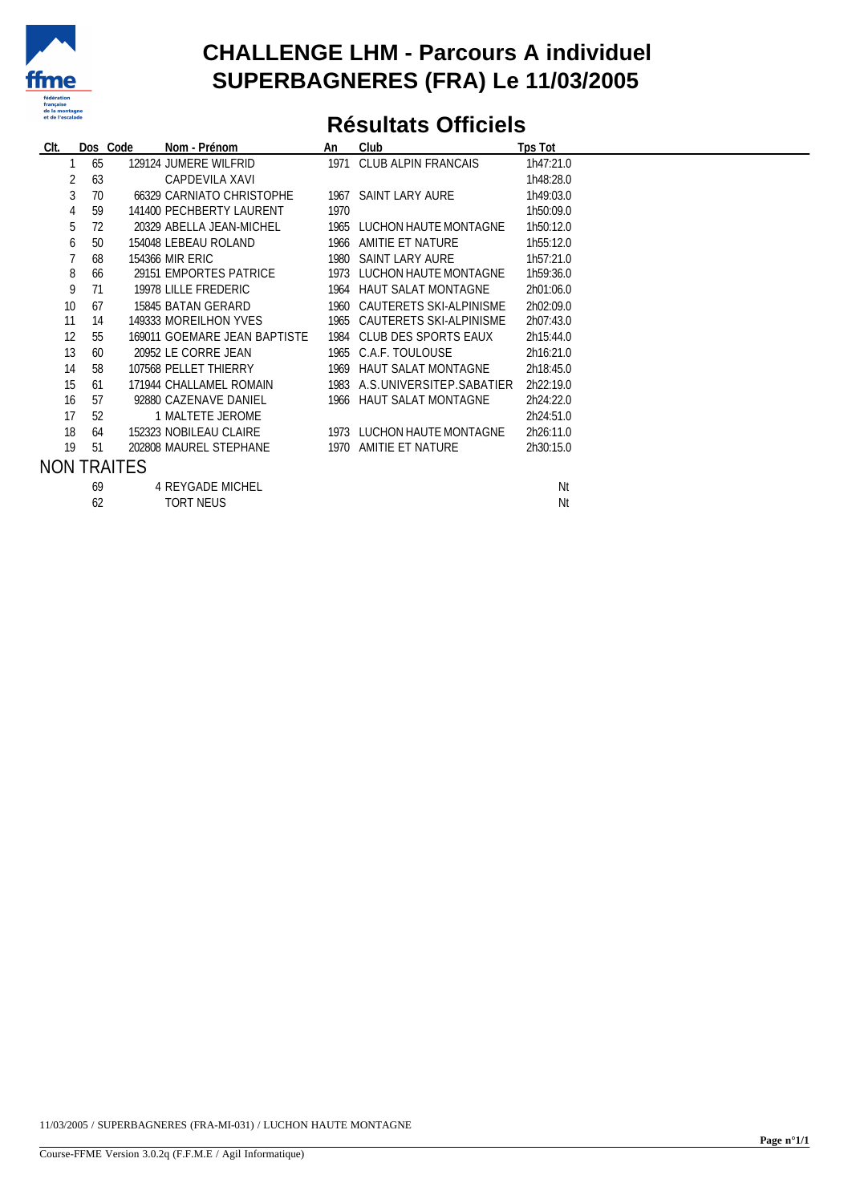

### **CHALLENGE LHM - Parcours A individuel SUPERBAGNERES (FRA) Le 11/03/2005**

## **Résultats Officiels**

| CIt. |         | Dos Code           | Nom - Prénom                 | An   | Club                          | <b>Tps Tot</b> |  |
|------|---------|--------------------|------------------------------|------|-------------------------------|----------------|--|
|      | 65      |                    | 129124 JUMERE WILFRID        |      | 1971 CLUB ALPIN FRANCAIS      | 1h47:21.0      |  |
|      | 63      |                    | CAPDEVILA XAVI               |      |                               | 1h48:28.0      |  |
|      | 3<br>70 |                    | 66329 CARNIATO CHRISTOPHE    |      | 1967 SAINT LARY AURE          | 1h49:03.0      |  |
|      | 59<br>4 |                    | 141400 PECHBERTY LAURENT     | 1970 |                               | 1h50:09.0      |  |
| 5    | 72      |                    | 20329 ABELLA JEAN-MICHEL     |      | 1965 LUCHON HAUTE MONTAGNE    | 1h50:12.0      |  |
| 6    | 50      |                    | 154048 LEBEAU ROLAND         |      | 1966 AMITIE ET NATURE         | 1h55:12.0      |  |
|      | 68      |                    | 154366 MIR ERIC              |      | 1980 SAINT LARY AURE          | 1h57:21.0      |  |
| 8    | 66      |                    | 29151 EMPORTES PATRICE       |      | 1973 LUCHON HAUTE MONTAGNE    | 1h59:36.0      |  |
| 9    | 71      |                    | 19978 LILLE FREDERIC         |      | 1964 HAUT SALAT MONTAGNE      | 2h01:06.0      |  |
| 10   | 67      |                    | 15845 BATAN GERARD           |      | 1960 CAUTERETS SKI-ALPINISME  | 2h02:09.0      |  |
| 11   | 14      |                    | 149333 MOREILHON YVES        |      | 1965 CAUTERETS SKI-ALPINISME  | 2h07:43.0      |  |
| 12   | 55      |                    | 169011 GOEMARE JEAN BAPTISTE |      | 1984 CLUB DES SPORTS EAUX     | 2h15:44.0      |  |
| 13   | 60      |                    | 20952 LE CORRE JEAN          |      | 1965 C.A.F. TOULOUSE          | 2h16:21.0      |  |
| 14   | 58      |                    | 107568 PELLET THIERRY        |      | 1969 HAUT SALAT MONTAGNE      | 2h18:45.0      |  |
| 15   | 61      |                    | 171944 CHALLAMEL ROMAIN      |      | 1983 A.S.UNIVERSITEP.SABATIER | 2h22:19.0      |  |
| 16   | 57      |                    | 92880 CAZENAVE DANIEL        |      | 1966 HAUT SALAT MONTAGNE      | 2h24:22.0      |  |
| 17   | 52      |                    | 1 MALTETE JEROME             |      |                               | 2h24:51.0      |  |
| 18   | 64      |                    | 152323 NOBILEAU CLAIRE       |      | 1973 LUCHON HAUTE MONTAGNE    | 2h26:11.0      |  |
| 19   | 51      |                    | 202808 MAUREL STEPHANE       |      | 1970 AMITIE ET NATURE         | 2h30:15.0      |  |
|      |         | <b>NON TRAITES</b> |                              |      |                               |                |  |
|      | 69      |                    | <b>4 REYGADE MICHEL</b>      |      |                               | Nt             |  |
|      | 62      |                    | <b>TORT NEUS</b>             |      |                               | Nt             |  |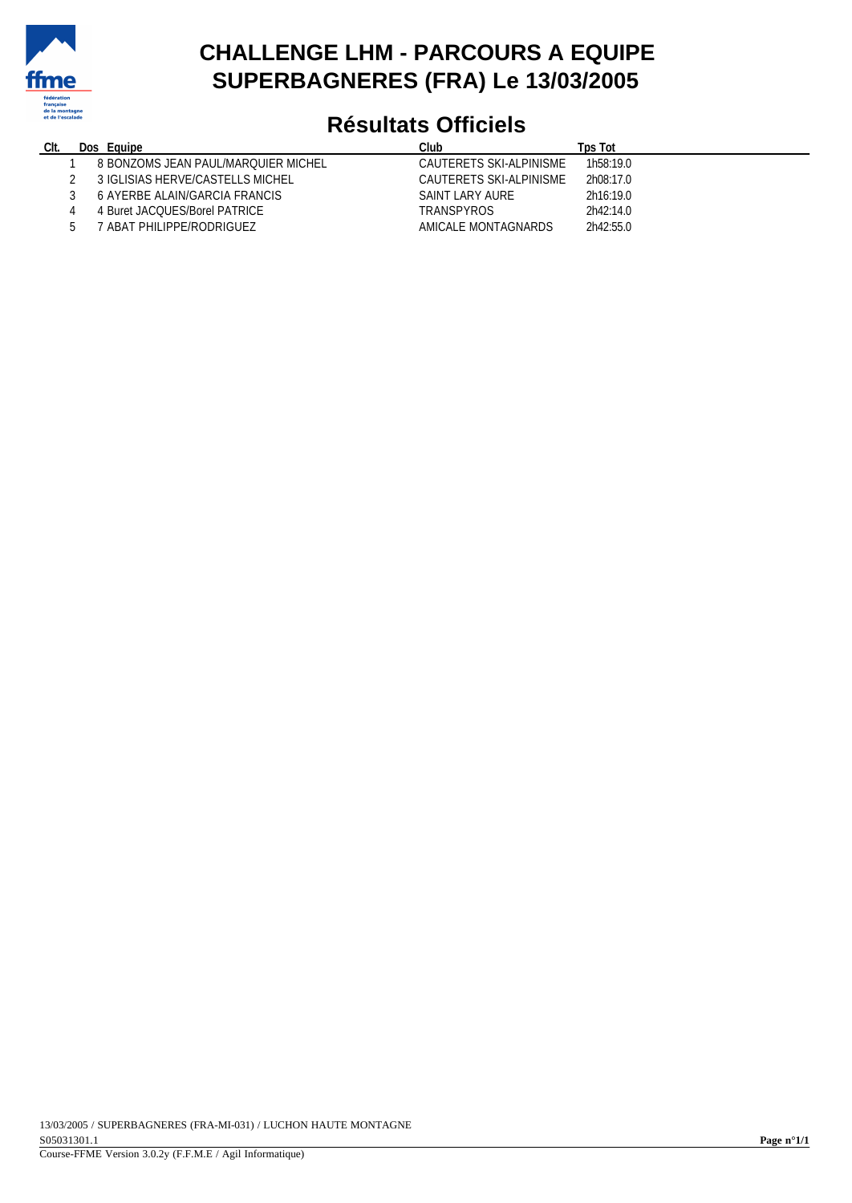

### **CHALLENGE LHM - PARCOURS A EQUIPE SUPERBAGNERES (FRA) Le 13/03/2005**

# **Résultats Officiels**

| CIt. | Dos. | Equipe                              | Club                    | Tps Tot                |
|------|------|-------------------------------------|-------------------------|------------------------|
|      |      | 8 BONZOMS JEAN PAUL/MAROUIER MICHEL | CAUTERETS SKI-ALPINISME | 1h <sub>58</sub> :19.0 |
|      |      | 3 IGLISIAS HERVE/CASTELLS MICHEL    | CAUTERETS SKI-ALPINISME | 2h08:17.0              |
|      |      | 6 AYERBE ALAIN/GARCIA FRANCIS       | SAINT LARY AURE         | 2h16:19.0              |
|      |      | 4 Buret JACOUES/Borel PATRICE       | <b>TRANSPYROS</b>       | 2h42:14.0              |
|      |      | ' ABAT PHILIPPE/RODRIGUEZ           | AMICALE MONTAGNARDS     | 2h42:55.0              |
|      |      |                                     |                         |                        |